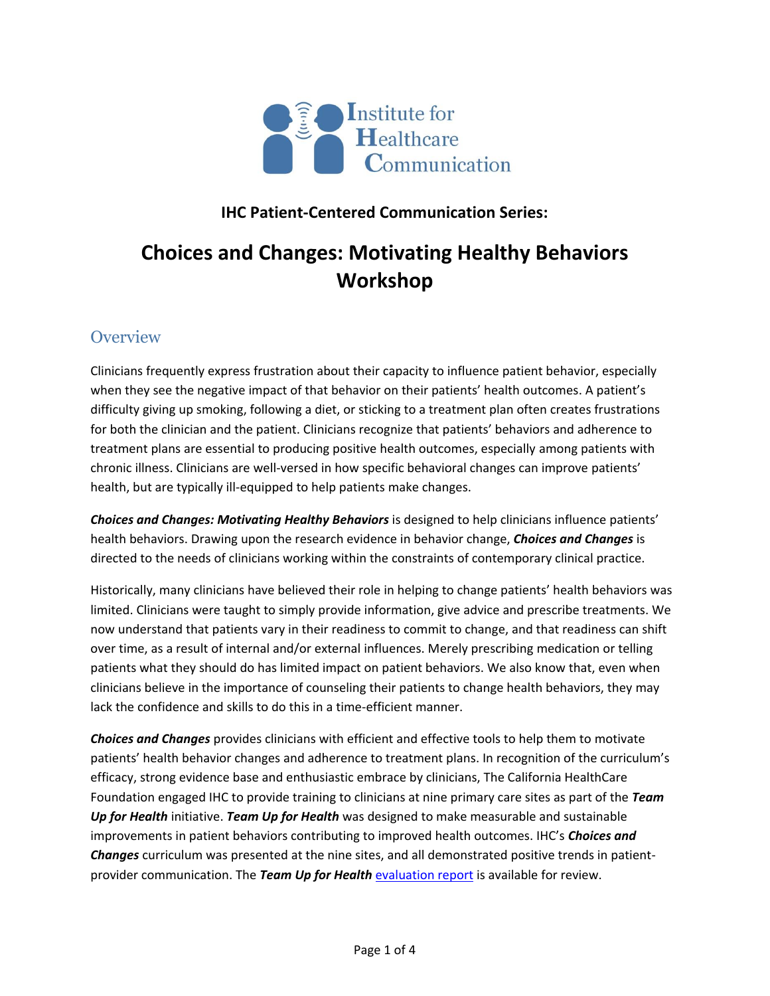

### **IHC Patient-Centered Communication Series:**

# **Choices and Changes: Motivating Healthy Behaviors Workshop**

## **Overview**

Clinicians frequently express frustration about their capacity to influence patient behavior, especially when they see the negative impact of that behavior on their patients' health outcomes. A patient's difficulty giving up smoking, following a diet, or sticking to a treatment plan often creates frustrations for both the clinician and the patient. Clinicians recognize that patients' behaviors and adherence to treatment plans are essential to producing positive health outcomes, especially among patients with chronic illness. Clinicians are well-versed in how specific behavioral changes can improve patients' health, but are typically ill-equipped to help patients make changes.

*Choices and Changes: Motivating Healthy Behaviors* is designed to help clinicians influence patients' health behaviors. Drawing upon the research evidence in behavior change, *Choices and Changes* is directed to the needs of clinicians working within the constraints of contemporary clinical practice.

Historically, many clinicians have believed their role in helping to change patients' health behaviors was limited. Clinicians were taught to simply provide information, give advice and prescribe treatments. We now understand that patients vary in their readiness to commit to change, and that readiness can shift over time, as a result of internal and/or external influences. Merely prescribing medication or telling patients what they should do has limited impact on patient behaviors. We also know that, even when clinicians believe in the importance of counseling their patients to change health behaviors, they may lack the confidence and skills to do this in a time-efficient manner.

*Choices and Changes* provides clinicians with efficient and effective tools to help them to motivate patients' health behavior changes and adherence to treatment plans. In recognition of the curriculum's efficacy, strong evidence base and enthusiastic embrace by clinicians, The California HealthCare Foundation engaged IHC to provide training to clinicians at nine primary care sites as part of the *Team Up for Health* initiative. *Team Up for Health* was designed to make measurable and sustainable improvements in patient behaviors contributing to improved health outcomes. IHC's *Choices and Changes* curriculum was presented at the nine sites, and all demonstrated positive trends in patientprovider communication. The *Team Up for Health* [evaluation report](http://www.chcf.org/~/media/MEDIA%20LIBRARY%20Files/PDF/E/PDF%20EvaluationTeamUpForHealth.pdf) is available for review.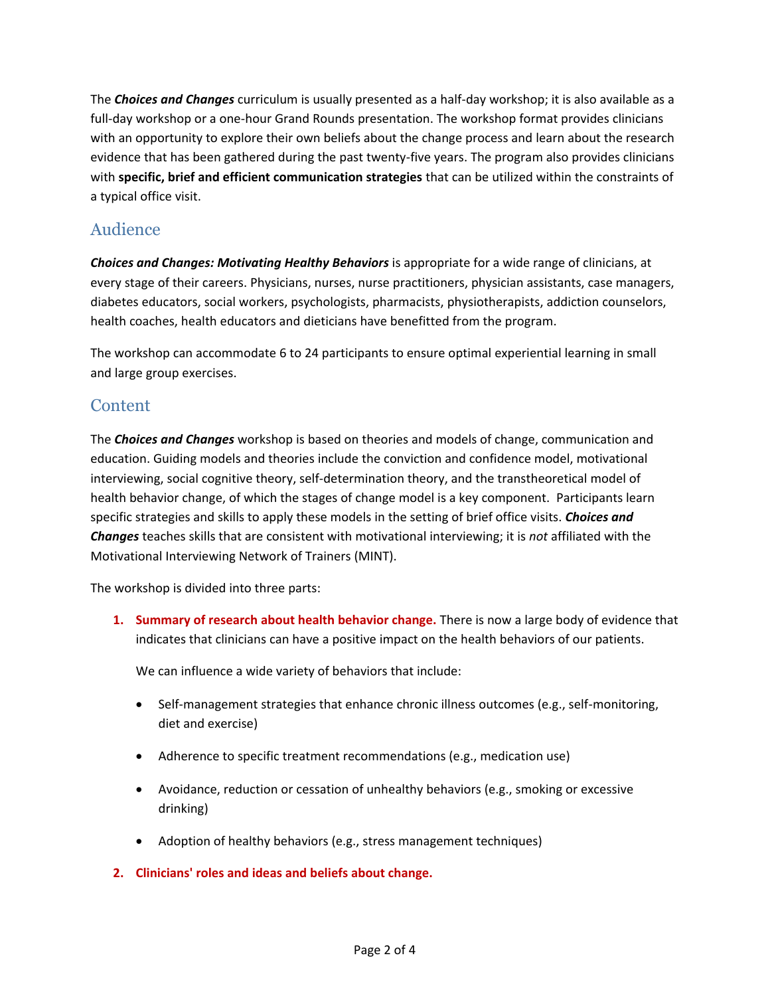The *Choices and Changes* curriculum is usually presented as a half-day workshop; it is also available as a full-day workshop or a one-hour Grand Rounds presentation. The workshop format provides clinicians with an opportunity to explore their own beliefs about the change process and learn about the research evidence that has been gathered during the past twenty-five years. The program also provides clinicians with **specific, brief and efficient communication strategies** that can be utilized within the constraints of a typical office visit.

## Audience

*Choices and Changes: Motivating Healthy Behaviors* is appropriate for a wide range of clinicians, at every stage of their careers. Physicians, nurses, nurse practitioners, physician assistants, case managers, diabetes educators, social workers, psychologists, pharmacists, physiotherapists, addiction counselors, health coaches, health educators and dieticians have benefitted from the program.

The workshop can accommodate 6 to 24 participants to ensure optimal experiential learning in small and large group exercises.

### **Content**

The *Choices and Changes* workshop is based on theories and models of change, communication and education. Guiding models and theories include the conviction and confidence model, motivational interviewing, social cognitive theory, self-determination theory, and the transtheoretical model of health behavior change, of which the stages of change model is a key component. Participants learn specific strategies and skills to apply these models in the setting of brief office visits. *Choices and Changes* teaches skills that are consistent with motivational interviewing; it is *not* affiliated with the Motivational Interviewing Network of Trainers (MINT).

The workshop is divided into three parts:

**1. Summary of research about health behavior change.** There is now a large body of evidence that indicates that clinicians can have a positive impact on the health behaviors of our patients.

We can influence a wide variety of behaviors that include:

- Self-management strategies that enhance chronic illness outcomes (e.g., self-monitoring, diet and exercise)
- Adherence to specific treatment recommendations (e.g., medication use)
- Avoidance, reduction or cessation of unhealthy behaviors (e.g., smoking or excessive drinking)
- Adoption of healthy behaviors (e.g., stress management techniques)
- **2. Clinicians' roles and ideas and beliefs about change.**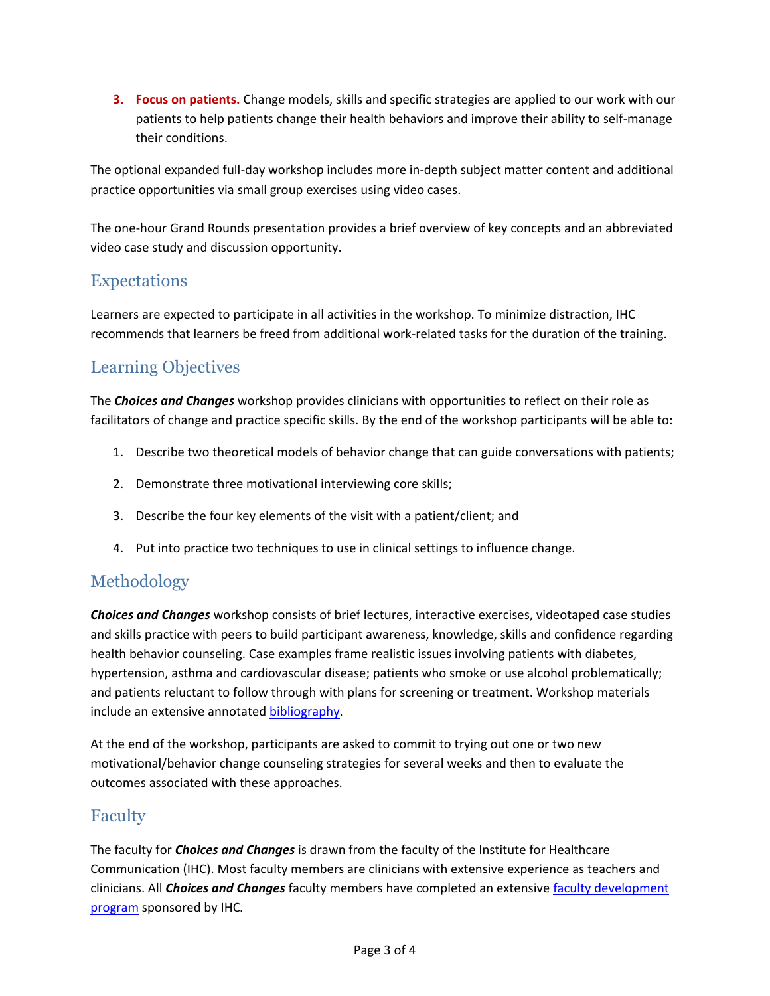**3. Focus on patients.** Change models, skills and specific strategies are applied to our work with our patients to help patients change their health behaviors and improve their ability to self-manage their conditions.

The optional expanded full-day workshop includes more in-depth subject matter content and additional practice opportunities via small group exercises using video cases.

The one-hour Grand Rounds presentation provides a brief overview of key concepts and an abbreviated video case study and discussion opportunity.

## Expectations

Learners are expected to participate in all activities in the workshop. To minimize distraction, IHC recommends that learners be freed from additional work-related tasks for the duration of the training.

## Learning Objectives

The *Choices and Changes* workshop provides clinicians with opportunities to reflect on their role as facilitators of change and practice specific skills. By the end of the workshop participants will be able to:

- 1. Describe two theoretical models of behavior change that can guide conversations with patients;
- 2. Demonstrate three motivational interviewing core skills;
- 3. Describe the four key elements of the visit with a patient/client; and
- 4. Put into practice two techniques to use in clinical settings to influence change.

## Methodology

*Choices and Changes* workshop consists of brief lectures, interactive exercises, videotaped case studies and skills practice with peers to build participant awareness, knowledge, skills and confidence regarding health behavior counseling. Case examples frame realistic issues involving patients with diabetes, hypertension, asthma and cardiovascular disease; patients who smoke or use alcohol problematically; and patients reluctant to follow through with plans for screening or treatment. Workshop materials include an extensive annotated **bibliography**.

At the end of the workshop, participants are asked to commit to trying out one or two new motivational/behavior change counseling strategies for several weeks and then to evaluate the outcomes associated with these approaches.

## Faculty

The faculty for *Choices and Changes* is drawn from the faculty of the Institute for Healthcare Communication (IHC). Most faculty members are clinicians with extensive experience as teachers and clinicians. All *Choices and Changes* faculty members have completed an extensive [faculty development](http://healthcarecomm.org/training/faculty-courses/choices-and-changes/)  [program](http://healthcarecomm.org/training/faculty-courses/choices-and-changes/) sponsored by IHC*.*